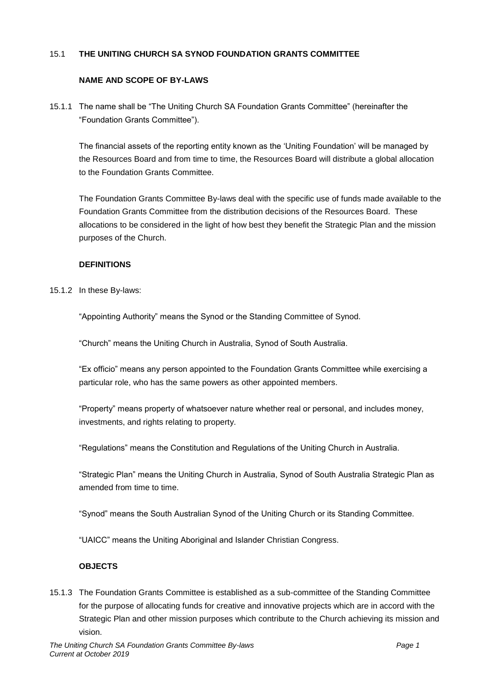### 15.1 **THE UNITING CHURCH SA SYNOD FOUNDATION GRANTS COMMITTEE**

#### **NAME AND SCOPE OF BY-LAWS**

15.1.1 The name shall be "The Uniting Church SA Foundation Grants Committee" (hereinafter the "Foundation Grants Committee").

The financial assets of the reporting entity known as the 'Uniting Foundation' will be managed by the Resources Board and from time to time, the Resources Board will distribute a global allocation to the Foundation Grants Committee.

The Foundation Grants Committee By-laws deal with the specific use of funds made available to the Foundation Grants Committee from the distribution decisions of the Resources Board. These allocations to be considered in the light of how best they benefit the Strategic Plan and the mission purposes of the Church.

### **DEFINITIONS**

15.1.2 In these By-laws:

"Appointing Authority" means the Synod or the Standing Committee of Synod.

"Church" means the Uniting Church in Australia, Synod of South Australia.

"Ex officio" means any person appointed to the Foundation Grants Committee while exercising a particular role, who has the same powers as other appointed members.

"Property" means property of whatsoever nature whether real or personal, and includes money, investments, and rights relating to property.

"Regulations" means the Constitution and Regulations of the Uniting Church in Australia.

"Strategic Plan" means the Uniting Church in Australia, Synod of South Australia Strategic Plan as amended from time to time.

"Synod" means the South Australian Synod of the Uniting Church or its Standing Committee.

"UAICC" means the Uniting Aboriginal and Islander Christian Congress.

## **OBJECTS**

15.1.3 The Foundation Grants Committee is established as a sub-committee of the Standing Committee for the purpose of allocating funds for creative and innovative projects which are in accord with the Strategic Plan and other mission purposes which contribute to the Church achieving its mission and vision.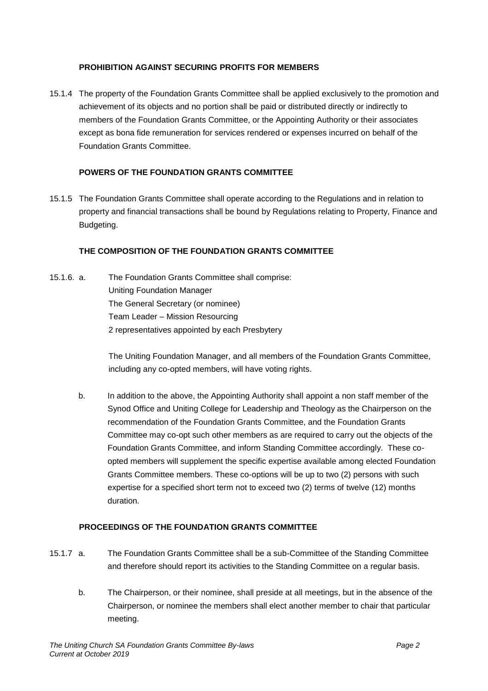### **PROHIBITION AGAINST SECURING PROFITS FOR MEMBERS**

15.1.4 The property of the Foundation Grants Committee shall be applied exclusively to the promotion and achievement of its objects and no portion shall be paid or distributed directly or indirectly to members of the Foundation Grants Committee, or the Appointing Authority or their associates except as bona fide remuneration for services rendered or expenses incurred on behalf of the Foundation Grants Committee.

#### **POWERS OF THE FOUNDATION GRANTS COMMITTEE**

15.1.5 The Foundation Grants Committee shall operate according to the Regulations and in relation to property and financial transactions shall be bound by Regulations relating to Property, Finance and Budgeting.

### **THE COMPOSITION OF THE FOUNDATION GRANTS COMMITTEE**

15.1.6. a. The Foundation Grants Committee shall comprise: Uniting Foundation Manager The General Secretary (or nominee) Team Leader – Mission Resourcing 2 representatives appointed by each Presbytery

> The Uniting Foundation Manager, and all members of the Foundation Grants Committee, including any co-opted members, will have voting rights.

b. In addition to the above, the Appointing Authority shall appoint a non staff member of the Synod Office and Uniting College for Leadership and Theology as the Chairperson on the recommendation of the Foundation Grants Committee, and the Foundation Grants Committee may co-opt such other members as are required to carry out the objects of the Foundation Grants Committee, and inform Standing Committee accordingly. These coopted members will supplement the specific expertise available among elected Foundation Grants Committee members. These co-options will be up to two (2) persons with such expertise for a specified short term not to exceed two (2) terms of twelve (12) months duration.

# **PROCEEDINGS OF THE FOUNDATION GRANTS COMMITTEE**

- 15.1.7 a. The Foundation Grants Committee shall be a sub-Committee of the Standing Committee and therefore should report its activities to the Standing Committee on a regular basis.
	- b. The Chairperson, or their nominee, shall preside at all meetings, but in the absence of the Chairperson, or nominee the members shall elect another member to chair that particular meeting.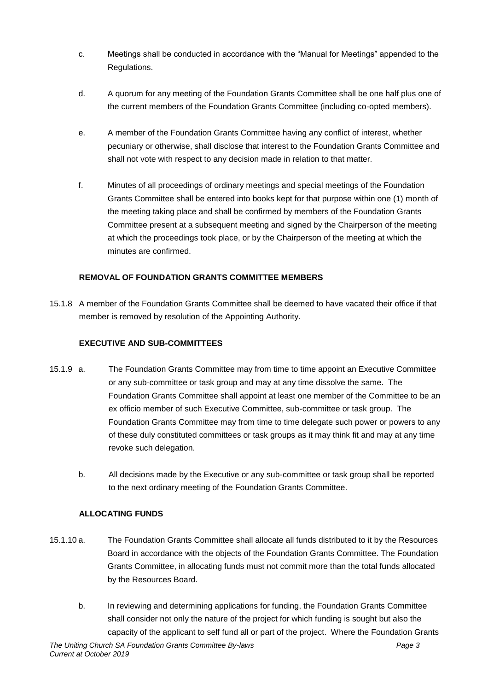- c. Meetings shall be conducted in accordance with the "Manual for Meetings" appended to the Regulations.
- d. A quorum for any meeting of the Foundation Grants Committee shall be one half plus one of the current members of the Foundation Grants Committee (including co-opted members).
- e. A member of the Foundation Grants Committee having any conflict of interest, whether pecuniary or otherwise, shall disclose that interest to the Foundation Grants Committee and shall not vote with respect to any decision made in relation to that matter.
- f. Minutes of all proceedings of ordinary meetings and special meetings of the Foundation Grants Committee shall be entered into books kept for that purpose within one (1) month of the meeting taking place and shall be confirmed by members of the Foundation Grants Committee present at a subsequent meeting and signed by the Chairperson of the meeting at which the proceedings took place, or by the Chairperson of the meeting at which the minutes are confirmed.

# **REMOVAL OF FOUNDATION GRANTS COMMITTEE MEMBERS**

15.1.8 A member of the Foundation Grants Committee shall be deemed to have vacated their office if that member is removed by resolution of the Appointing Authority.

# **EXECUTIVE AND SUB-COMMITTEES**

- 15.1.9 a. The Foundation Grants Committee may from time to time appoint an Executive Committee or any sub-committee or task group and may at any time dissolve the same. The Foundation Grants Committee shall appoint at least one member of the Committee to be an ex officio member of such Executive Committee, sub-committee or task group. The Foundation Grants Committee may from time to time delegate such power or powers to any of these duly constituted committees or task groups as it may think fit and may at any time revoke such delegation.
	- b. All decisions made by the Executive or any sub-committee or task group shall be reported to the next ordinary meeting of the Foundation Grants Committee.

## **ALLOCATING FUNDS**

- 15.1.10 a. The Foundation Grants Committee shall allocate all funds distributed to it by the Resources Board in accordance with the objects of the Foundation Grants Committee. The Foundation Grants Committee, in allocating funds must not commit more than the total funds allocated by the Resources Board.
	- b. In reviewing and determining applications for funding, the Foundation Grants Committee shall consider not only the nature of the project for which funding is sought but also the capacity of the applicant to self fund all or part of the project. Where the Foundation Grants